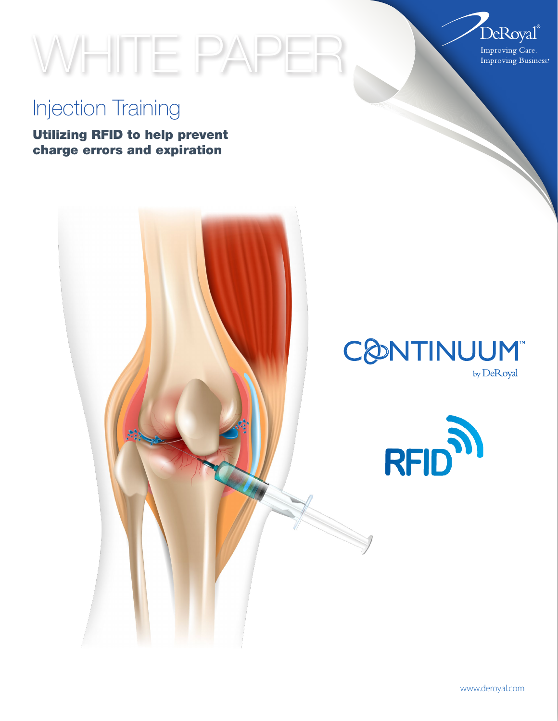

# WHITE PAPER

## Injection Training

Utilizing RFID to help prevent charge errors and expiration



by DeRoyal

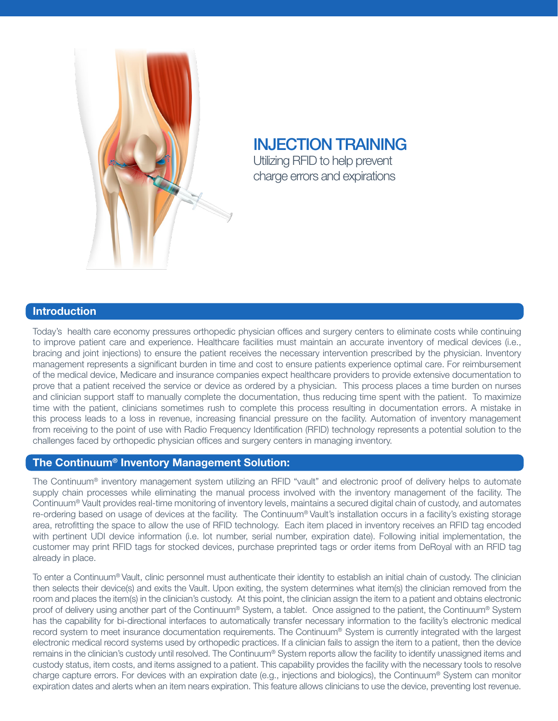

### INJECTION TRAINING Utilizing RFID to help prevent charge errors and expirations

#### Introduction

Today's health care economy pressures orthopedic physician offices and surgery centers to eliminate costs while continuing to improve patient care and experience. Healthcare facilities must maintain an accurate inventory of medical devices (i.e., bracing and joint injections) to ensure the patient receives the necessary intervention prescribed by the physician. Inventory management represents a significant burden in time and cost to ensure patients experience optimal care. For reimbursement of the medical device, Medicare and insurance companies expect healthcare providers to provide extensive documentation to prove that a patient received the service or device as ordered by a physician. This process places a time burden on nurses and clinician support staff to manually complete the documentation, thus reducing time spent with the patient. To maximize time with the patient, clinicians sometimes rush to complete this process resulting in documentation errors. A mistake in this process leads to a loss in revenue, increasing financial pressure on the facility. Automation of inventory management from receiving to the point of use with Radio Frequency Identification (RFID) technology represents a potential solution to the challenges faced by orthopedic physician offices and surgery centers in managing inventory.

#### The Continuum® Inventory Management Solution:

The Continuum® inventory management system utilizing an RFID "vault" and electronic proof of delivery helps to automate supply chain processes while eliminating the manual process involved with the inventory management of the facility. The Continuum® Vault provides real-time monitoring of inventory levels, maintains a secured digital chain of custody, and automates re-ordering based on usage of devices at the facility. The Continuum® Vault's installation occurs in a facility's existing storage area, retrofitting the space to allow the use of RFID technology. Each item placed in inventory receives an RFID tag encoded with pertinent UDI device information (i.e. lot number, serial number, expiration date). Following initial implementation, the customer may print RFID tags for stocked devices, purchase preprinted tags or order items from DeRoyal with an RFID tag already in place.

To enter a Continuum® Vault, clinic personnel must authenticate their identity to establish an initial chain of custody. The clinician then selects their device(s) and exits the Vault. Upon exiting, the system determines what item(s) the clinician removed from the room and places the item(s) in the clinician's custody. At this point, the clinician assign the item to a patient and obtains electronic proof of delivery using another part of the Continuum® System, a tablet. Once assigned to the patient, the Continuum® System has the capability for bi-directional interfaces to automatically transfer necessary information to the facility's electronic medical record system to meet insurance documentation requirements. The Continuum® System is currently integrated with the largest electronic medical record systems used by orthopedic practices. If a clinician fails to assign the item to a patient, then the device remains in the clinician's custody until resolved. The Continuum® System reports allow the facility to identify unassigned items and custody status, item costs, and items assigned to a patient. This capability provides the facility with the necessary tools to resolve charge capture errors. For devices with an expiration date (e.g., injections and biologics), the Continuum® System can monitor expiration dates and alerts when an item nears expiration. This feature allows clinicians to use the device, preventing lost revenue.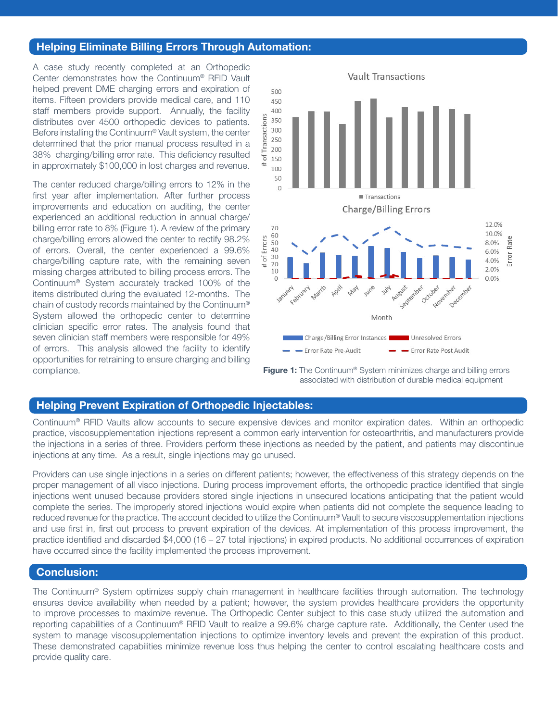#### Helping Eliminate Billing Errors Through Automation:

A case study recently completed at an Orthopedic Center demonstrates how the Continuum® RFID Vault helped prevent DME charging errors and expiration of items. Fifteen providers provide medical care, and 110 staff members provide support. Annually, the facility distributes over 4500 orthopedic devices to patients. Before installing the Continuum® Vault system, the center determined that the prior manual process resulted in a 38% charging/billing error rate. This deficiency resulted in approximately \$100,000 in lost charges and revenue.

The center reduced charge/billing errors to 12% in the first year after implementation. After further process improvements and education on auditing, the center experienced an additional reduction in annual charge/ billing error rate to 8% (Figure 1). A review of the primary charge/billing errors allowed the center to rectify 98.2% of errors. Overall, the center experienced a 99.6% charge/billing capture rate, with the remaining seven missing charges attributed to billing process errors. The Continuum® System accurately tracked 100% of the items distributed during the evaluated 12-months. The chain of custody records maintained by the Continuum® System allowed the orthopedic center to determine clinician specific error rates. The analysis found that seven clinician staff members were responsible for 49% of errors. This analysis allowed the facility to identify opportunities for retraining to ensure charging and billing compliance.



**Figure 1:** The Continuum® System minimizes charge and billing errors associated with distribution of durable medical equipment

#### Helping Prevent Expiration of Orthopedic Injectables:

Continuum® RFID Vaults allow accounts to secure expensive devices and monitor expiration dates. Within an orthopedic practice, viscosupplementation injections represent a common early intervention for osteoarthritis, and manufacturers provide the injections in a series of three. Providers perform these injections as needed by the patient, and patients may discontinue injections at any time. As a result, single injections may go unused.

Providers can use single injections in a series on different patients; however, the effectiveness of this strategy depends on the proper management of all visco injections. During process improvement efforts, the orthopedic practice identified that single injections went unused because providers stored single injections in unsecured locations anticipating that the patient would complete the series. The improperly stored injections would expire when patients did not complete the sequence leading to reduced revenue for the practice. The account decided to utilize the Continuum® Vault to secure viscosupplementation injections and use first in, first out process to prevent expiration of the devices. At implementation of this process improvement, the practice identified and discarded \$4,000 (16 – 27 total injections) in expired products. No additional occurrences of expiration have occurred since the facility implemented the process improvement.

#### Conclusion:

The Continuum® System optimizes supply chain management in healthcare facilities through automation. The technology ensures device availability when needed by a patient; however, the system provides healthcare providers the opportunity to improve processes to maximize revenue. The Orthopedic Center subject to this case study utilized the automation and reporting capabilities of a Continuum® RFID Vault to realize a 99.6% charge capture rate. Additionally, the Center used the system to manage viscosupplementation injections to optimize inventory levels and prevent the expiration of this product. These demonstrated capabilities minimize revenue loss thus helping the center to control escalating healthcare costs and provide quality care.